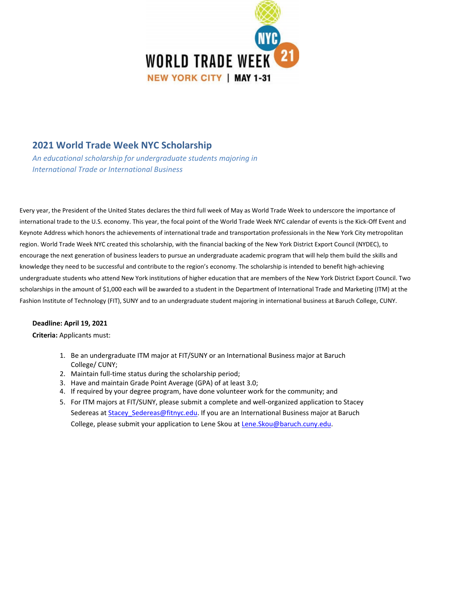

### **2021 World Trade Week NYC Scholarship**

*An educational scholarship for undergraduate students majoring in International Trade or International Business*

Every year, the President of the United States declares the third full week of May as World Trade Week to underscore the importance of international trade to the U.S. economy. This year, the focal point of the World Trade Week NYC calendar of events is the Kick-Off Event and Keynote Address which honors the achievements of international trade and transportation professionals in the New York City metropolitan region. World Trade Week NYC created this scholarship, with the financial backing of the New York District Export Council (NYDEC), to encourage the next generation of business leaders to pursue an undergraduate academic program that will help them build the skills and knowledge they need to be successful and contribute to the region's economy. The scholarship is intended to benefit high-achieving undergraduate students who attend New York institutions of higher education that are members of the New York District Export Council. Two scholarships in the amount of \$1,000 each will be awarded to a student in the Department of International Trade and Marketing (ITM) at the Fashion Institute of Technology (FIT), SUNY and to an undergraduate student majoring in international business at Baruch College, CUNY.

#### **Deadline: April 19, 2021**

#### **Criteria:** Applicants must:

- 1. Be an undergraduate ITM major at FIT/SUNY or an International Business major at Baruch College/ CUNY;
- 2. Maintain full-time status during the scholarship period;
- 3. Have and maintain Grade Point Average (GPA) of at least 3.0;
- 4. If required by your degree program, have done volunteer work for the community; and
- 5. For ITM majors at FIT/SUNY, please submit a complete and well-organized application to Stacey Sedereas at Stacey Sedereas@fitnyc.edu. If you are a[n International B](mailto:Lene.Skou@baruch.cuny.edu)usiness major at Baruch College, please submit your application to Lene Skou at Lene.Skou@baruch.cuny.edu.